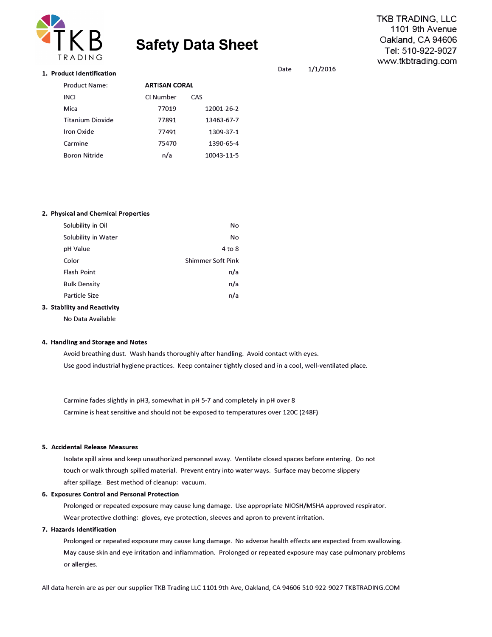

# **Safety Data Sheet**

**TKB TRADING, LLC 1101 9th Avenue Oakland, CA 94606 Tel: 510-922-9027 www.tkbtrading.com** 

### **1. Product Identification**

| <b>Product Name:</b>    |           | <b>ARTISAN CORAL</b> |  |
|-------------------------|-----------|----------------------|--|
| <b>INCI</b>             | CI Number | CAS                  |  |
| Mica                    | 77019     | 12001-26-2           |  |
| <b>Titanium Dioxide</b> | 77891     | 13463-67-7           |  |
| Iron Oxide              | 77491     | 1309-37-1            |  |
| Carmine                 | 75470     | 1390-65-4            |  |
| <b>Boron Nitride</b>    | n/a       | 10043-11-5           |  |
|                         |           |                      |  |

### **2. Physical and Chemical Properties**

| Solubility in Oil           | No                       |
|-----------------------------|--------------------------|
| Solubility in Water         | No                       |
| pH Value                    | $4$ to $8$               |
| Color                       | <b>Shimmer Soft Pink</b> |
| <b>Flash Point</b>          | n/a                      |
| <b>Bulk Density</b>         | n/a                      |
| Particle Size               | n/a                      |
| 3. Stability and Reactivity |                          |

No Data Available

### **4. Handling and Storage and Notes**

Avoid breathing dust. Wash hands thoroughly after handling. Avoid contact with eyes. Use good industrial hygiene practices. Keep container tightly closed and in a cool, well-ventilated place.

Carmine fades slightly in pH3, somewhat in pH 5-7 and completely in pH over 8 Carmine is heat sensitive and should not be exposed to temperatures over 120C {248F)

### **5. Accidental Release Measures**

Isolate spill airea and keep unauthorized personnel away. Ventilate closed spaces before entering. Do not touch or walk through spilled material. Prevent entry into water ways. Surface may become slippery after spillage. Best method of cleanup: vacuum.

### **6. Exposures Control and Personal Protection**

Prolonged or repeated exposure may cause lung damage. Use appropriate NIOSH/MSHA approved respirator. Wear protective clothing: gloves, eye protection, sleeves and apron to prevent irritation.

# **7. Hazards Identification**

Prolonged or repeated exposure may cause lung damage. No adverse health effects are expected from swallowing. May cause skin and eye irritation and inflammation. Prolonged or repeated exposure may case pulmonary problems or allergies.

All data herein are as per our supplier TKB Trading LLC 1101 9th Ave, Oakland, CA 94606 510-922-9027 TKBTRADING.COM

# Date 1/1/2016